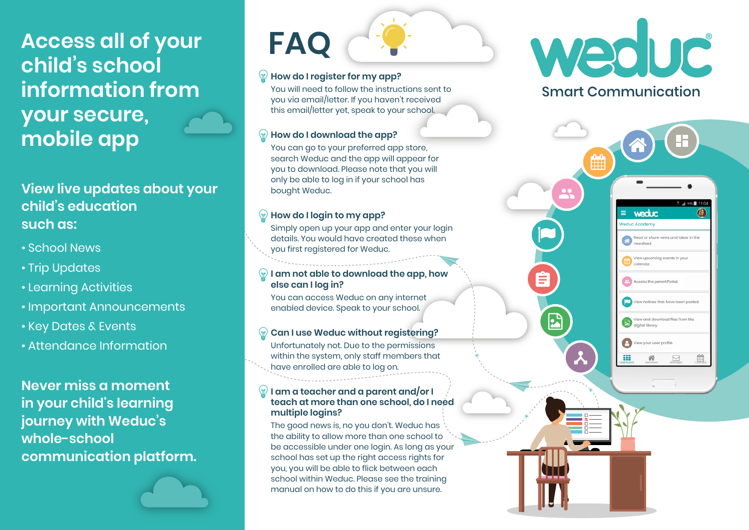# **Access all of your child's school information from your secure, mobile app**

# **View live updates about your child's education such as:**

- School News
- Trip Updates
- Learning Activities
- Important Announcements
- Key Dates & Events
- Attendance Information

**Never miss a moment in your child's learning journey with Weduc's whole-school communication platform.** 

# **FAQ**

## **How do I register for my app?**

You will need to follow the instructions sent to you via email/letter. If you haven't received this email/letter yet, speak to your school.

## **How do I download the app?**

You can go to your preferred app store, search Weduc and the app will appear for you to download. Please note that you will only be able to log in if your school has bought Weduc.

## **How do I login to my app?**

Simply open up your app and enter your login details. You would have created these when you first registered for Weduc.

#### **I am not able to download the app, how else can I log in?**

You can access Weduc on any internet enabled device. Speak to your school.

### **Can I use Weduc without registering?**

Unfortunately not. Due to the permissions within the system, only staff members that have enrolled are able to log on.

### **I am a teacher and a parent and/or I teach at more than one school, do I need multiple logins?**

The good news is, no you don't. Weduc has the ability to allow more than one school to be accessible under one login. As long as your school has set up the right access rights for you, you will be able to flick between each school within Weduc. Please see the training manual on how to do this if you are unsure.